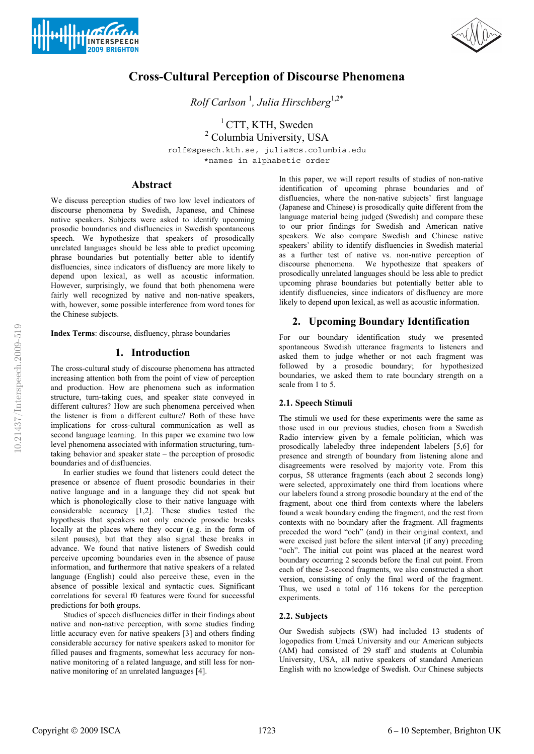



# **Cross-Cultural Perception of Discourse Phenomena**

*Rolf Carlson* <sup>1</sup> *, Julia Hirschberg*1,2\*

 $1$  CTT, KTH, Sweden <sup>2</sup> Columbia University, USA rolf@speech.kth.se, julia@cs.columbia.edu \*names in alphabetic order

### **Abstract**

We discuss perception studies of two low level indicators of discourse phenomena by Swedish, Japanese, and Chinese native speakers. Subjects were asked to identify upcoming prosodic boundaries and disfluencies in Swedish spontaneous speech. We hypothesize that speakers of prosodically unrelated languages should be less able to predict upcoming phrase boundaries but potentially better able to identify disfluencies, since indicators of disfluency are more likely to depend upon lexical, as well as acoustic information. However, surprisingly, we found that both phenomena were fairly well recognized by native and non-native speakers, with, however, some possible interference from word tones for the Chinese subjects.

**Index Terms**: discourse, disfluency, phrase boundaries

## **1. Introduction**

The cross-cultural study of discourse phenomena has attracted increasing attention both from the point of view of perception and production. How are phenomena such as information structure, turn-taking cues, and speaker state conveyed in different cultures? How are such phenomena perceived when the listener is from a different culture? Both of these have implications for cross-cultural communication as well as second language learning. In this paper we examine two low level phenomena associated with information structuring, turntaking behavior and speaker state – the perception of prosodic boundaries and of disfluencies.

In earlier studies we found that listeners could detect the presence or absence of fluent prosodic boundaries in their native language and in a language they did not speak but which is phonologically close to their native language with considerable accuracy [1,2]. These studies tested the hypothesis that speakers not only encode prosodic breaks locally at the places where they occur (e.g. in the form of silent pauses), but that they also signal these breaks in advance. We found that native listeners of Swedish could perceive upcoming boundaries even in the absence of pause information, and furthermore that native speakers of a related language (English) could also perceive these, even in the absence of possible lexical and syntactic cues. Significant correlations for several f0 features were found for successful predictions for both groups.

Studies of speech disfluencies differ in their findings about native and non-native perception, with some studies finding little accuracy even for native speakers [3] and others finding considerable accuracy for native speakers asked to monitor for filled pauses and fragments, somewhat less accuracy for nonnative monitoring of a related language, and still less for nonnative monitoring of an unrelated languages [4].

In this paper, we will report results of studies of non-native identification of upcoming phrase boundaries and of disfluencies, where the non-native subjects' first language (Japanese and Chinese) is prosodically quite different from the language material being judged (Swedish) and compare these to our prior findings for Swedish and American native speakers. We also compare Swedish and Chinese native speakers' ability to identify disfluencies in Swedish material as a further test of native vs. non-native perception of discourse phenomena. We hypothesize that speakers of prosodically unrelated languages should be less able to predict upcoming phrase boundaries but potentially better able to identify disfluencies, since indicators of disfluency are more likely to depend upon lexical, as well as acoustic information.

### **2. Upcoming Boundary Identification**

For our boundary identification study we presented spontaneous Swedish utterance fragments to listeners and asked them to judge whether or not each fragment was followed by a prosodic boundary; for hypothesized boundaries, we asked them to rate boundary strength on a scale from 1 to 5.

### **2.1. Speech Stimuli**

The stimuli we used for these experiments were the same as those used in our previous studies, chosen from a Swedish Radio interview given by a female politician, which was prosodically labeledby three independent labelers [5,6] for presence and strength of boundary from listening alone and disagreements were resolved by majority vote. From this corpus, 58 utterance fragments (each about 2 seconds long) were selected, approximately one third from locations where our labelers found a strong prosodic boundary at the end of the fragment, about one third from contexts where the labelers found a weak boundary ending the fragment, and the rest from contexts with no boundary after the fragment. All fragments preceded the word "och" (and) in their original context, and were excised just before the silent interval (if any) preceding "och". The initial cut point was placed at the nearest word boundary occurring 2 seconds before the final cut point. From each of these 2-second fragments, we also constructed a short version, consisting of only the final word of the fragment. Thus, we used a total of 116 tokens for the perception experiments.

### **2.2. Subjects**

Our Swedish subjects (SW) had included 13 students of logopedics from Umeå University and our American subjects (AM) had consisted of 29 staff and students at Columbia University, USA, all native speakers of standard American English with no knowledge of Swedish. Our Chinese subjects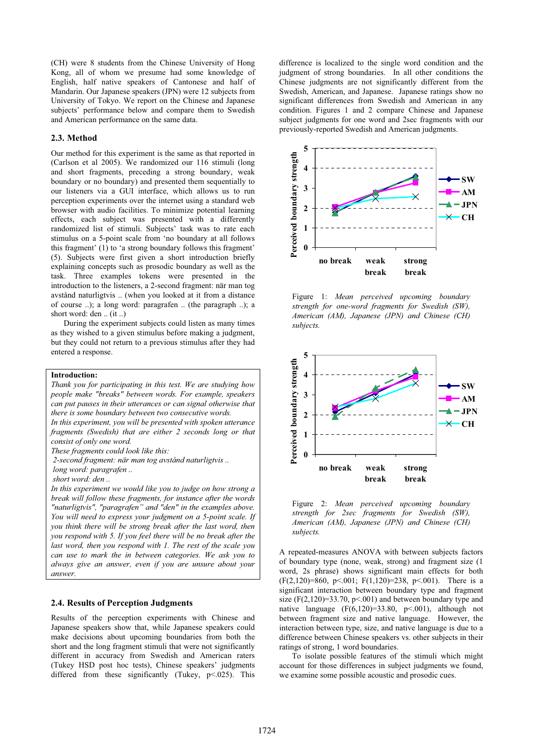(CH) were 8 students from the Chinese University of Hong Kong, all of whom we presume had some knowledge of English, half native speakers of Cantonese and half of Mandarin. Our Japanese speakers (JPN) were 12 subjects from University of Tokyo. We report on the Chinese and Japanese subjects' performance below and compare them to Swedish and American performance on the same data.

### **2.3. Method**

Our method for this experiment is the same as that reported in (Carlson et al 2005). We randomized our 116 stimuli (long and short fragments, preceding a strong boundary, weak boundary or no boundary) and presented them sequentially to our listeners via a GUI interface, which allows us to run perception experiments over the internet using a standard web browser with audio facilities. To minimize potential learning effects, each subject was presented with a differently randomized list of stimuli. Subjects' task was to rate each stimulus on a 5-point scale from 'no boundary at all follows this fragment' (1) to 'a strong boundary follows this fragment' (5). Subjects were first given a short introduction briefly explaining concepts such as prosodic boundary as well as the task. Three examples tokens were presented in the introduction to the listeners, a 2-second fragment: när man tog avstånd naturligtvis .. (when you looked at it from a distance of course ..); a long word: paragrafen .. (the paragraph ..); a short word: den .. (it ..)

During the experiment subjects could listen as many times as they wished to a given stimulus before making a judgment, but they could not return to a previous stimulus after they had entered a response.

#### **Introduction:**

*Thank you for participating in this test. We are studying how people make "breaks" between words. For example, speakers can put pauses in their utterances or can signal otherwise that there is some boundary between two consecutive words. In this experiment, you will be presented with spoken utterance fragments (Swedish) that are either 2 seconds long or that consist of only one word. These fragments could look like this: 2-second fragment: när man tog avstånd naturligtvis ..* 

 *long word: paragrafen ..* 

 *short word: den ..* 

*In this experiment we would like you to judge on how strong a break will follow these fragments, for instance after the words "naturligtvis", "paragrafen" and "den" in the examples above. You will need to express your judgment on a 5-point scale. If you think there will be strong break after the last word, then you respond with 5. If you feel there will be no break after the last word, then you respond with 1. The rest of the scale you can use to mark the in between categories. We ask you to always give an answer, even if you are unsure about your answer.*

### **2.4. Results of Perception Judgments**

Results of the perception experiments with Chinese and Japanese speakers show that, while Japanese speakers could make decisions about upcoming boundaries from both the short and the long fragment stimuli that were not significantly different in accuracy from Swedish and American raters (Tukey HSD post hoc tests), Chinese speakers' judgments differed from these significantly (Tukey, p<.025). This difference is localized to the single word condition and the judgment of strong boundaries. In all other conditions the Chinese judgments are not significantly different from the Swedish, American, and Japanese. Japanese ratings show no significant differences from Swedish and American in any condition. Figures 1 and 2 compare Chinese and Japanese subject judgments for one word and 2sec fragments with our previously-reported Swedish and American judgments.



Figure 1: *Mean perceived upcoming boundary strength for one-word fragments for Swedish (SW), American (AM), Japanese (JPN) and Chinese (CH) subjects.*



Figure 2: *Mean perceived upcoming boundary strength for 2sec fragments for Swedish (SW), American (AM), Japanese (JPN) and Chinese (CH) subjects.*

A repeated-measures ANOVA with between subjects factors of boundary type (none, weak, strong) and fragment size (1 word, 2s phrase) shows significant main effects for both (F(2,120)=860, p < 0.01; F(1,120)=238, p < 0.01). There is a significant interaction between boundary type and fragment size  $(F(2,120)=33.70, p<.001)$  and between boundary type and native language  $(F(6,120)=33.80, p<.001)$ , although not between fragment size and native language. However, the interaction between type, size, and native language is due to a difference between Chinese speakers vs. other subjects in their ratings of strong, 1 word boundaries.

To isolate possible features of the stimuli which might account for those differences in subject judgments we found, we examine some possible acoustic and prosodic cues.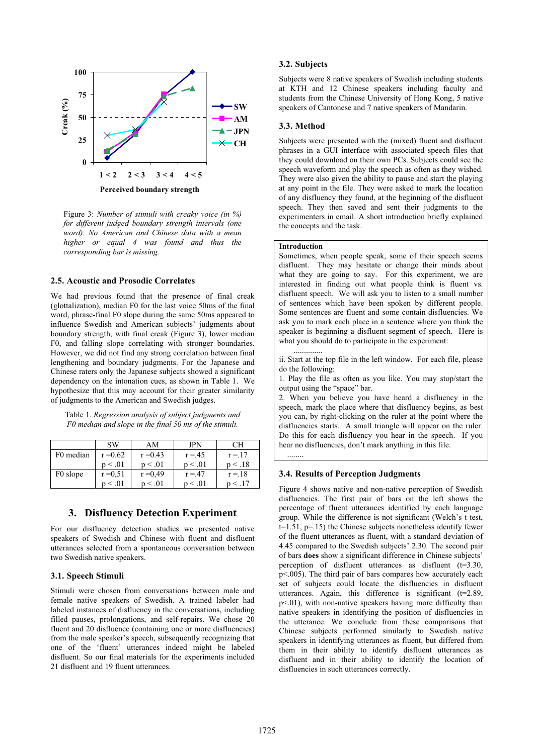

**Perceived boundary strength**

Figure 3: *Number of stimuli with creaky voice (in %) for different judged boundary strength intervals (one word). No American and Chinese data with a mean higher or equal 4 was found and thus the corresponding bar is missing.*

### **2.5. Acoustic and Prosodic Correlates**

We had previous found that the presence of final creak (glottalization), median F0 for the last voice 50ms of the final word, phrase-final F0 slope during the same 50ms appeared to influence Swedish and American subjects' judgments about boundary strength, with final creak (Figure 3), lower median F0, and falling slope correlating with stronger boundaries. However, we did not find any strong correlation between final lengthening and boundary judgments. For the Japanese and Chinese raters only the Japanese subjects showed a significant dependency on the intonation cues, as shown in Table 1. We hypothesize that this may account for their greater similarity of judgments to the American and Swedish judges.

Table 1. *Regression analysis of subject judgments and F0 median and slope in the final 50 ms of the stimuli.* 

|                      | <b>SW</b>  | AM           | JPN      | CН           |
|----------------------|------------|--------------|----------|--------------|
| F0 median            | $r = 0.62$ | $r = 0.43$   | $r = 45$ | $r = 17$     |
|                      | p < .01    | p < .01      | p < .01  | p < .18      |
| F <sub>0</sub> slope | $r = 0.51$ | $r = 0.49$   | $r = 47$ | $r = 18$     |
|                      | p < .01    | $p \leq .01$ | p < .01  | $n \leq .17$ |

### **3. Disfluency Detection Experiment**

For our disfluency detection studies we presented native speakers of Swedish and Chinese with fluent and disfluent utterances selected from a spontaneous conversation between two Swedish native speakers.

### **3.1. Speech Stimuli**

Stimuli were chosen from conversations between male and female native speakers of Swedish. A trained labeler had labeled instances of disfluency in the conversations, including filled pauses, prolongations, and self-repairs. We chose 20 fluent and 20 disfluence (containing one or more disfluencies) from the male speaker's speech, subsequently recognizing that one of the 'fluent' utterances indeed might be labeled disfluent. So our final materials for the experiments included 21 disfluent and 19 fluent utterances.

### **3.2. Subjects**

Subjects were 8 native speakers of Swedish including students at KTH and 12 Chinese speakers including faculty and students from the Chinese University of Hong Kong, 5 native speakers of Cantonese and 7 native speakers of Mandarin.

#### **3.3. Method**

Subjects were presented with the (mixed) fluent and disfluent phrases in a GUI interface with associated speech files that they could download on their own PCs. Subjects could see the speech waveform and play the speech as often as they wished. They were also given the ability to pause and start the playing at any point in the file. They were asked to mark the location of any disfluency they found, at the beginning of the disfluent speech. They then saved and sent their judgments to the experimenters in email. A short introduction briefly explained the concepts and the task.

### **Introduction**

..............

........

Sometimes, when people speak, some of their speech seems disfluent. They may hesitate or change their minds about what they are going to say. For this experiment, we are interested in finding out what people think is fluent vs. disfluent speech. We will ask you to listen to a small number of sentences which have been spoken by different people. Some sentences are fluent and some contain disfluencies. We ask you to mark each place in a sentence where you think the speaker is beginning a disfluent segment of speech. Here is what you should do to participate in the experiment:

ii. Start at the top file in the left window. For each file, please do the following:

1. Play the file as often as you like. You may stop/start the output using the "space" bar.

2. When you believe you have heard a disfluency in the speech, mark the place where that disfluency begins, as best you can, by right-clicking on the ruler at the point where the disfluencies starts. A small triangle will appear on the ruler. Do this for each disfluency you hear in the speech. If you hear no disfluencies, don't mark anything in this file.

### **3.4. Results of Perception Judgments**

Figure 4 shows native and non-native perception of Swedish disfluencies. The first pair of bars on the left shows the percentage of fluent utterances identified by each language group. While the difference is not significant (Welch's t test, t=1.51, p=.15) the Chinese subjects nonetheless identify fewer of the fluent utterances as fluent, with a standard deviation of 4.45 compared to the Swedish subjects' 2.30. The second pair of bars **does** show a significant difference in Chinese subjects' perception of disfluent utterances as disfluent (t=3.30, p<.005). The third pair of bars compares how accurately each set of subjects could locate the disfluencies in disfluent utterances. Again, this difference is significant (t=2.89, p<.01), with non-native speakers having more difficulty than native speakers in identifying the position of disfluencies in the utterance. We conclude from these comparisons that Chinese subjects performed similarly to Swedish native speakers in identifying utterances as fluent, but differed from them in their ability to identify disfluent utterances as disfluent and in their ability to identify the location of disfluencies in such utterances correctly.